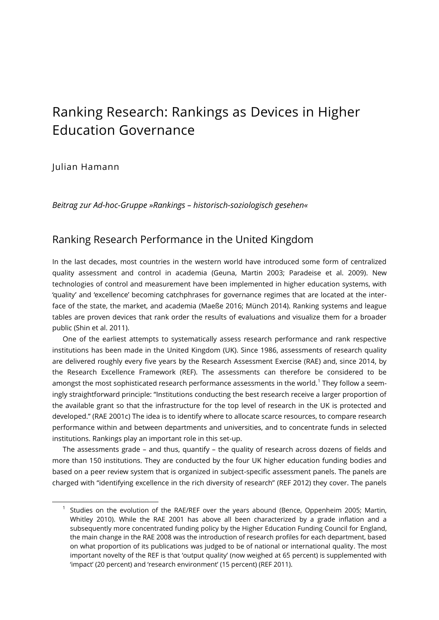# Ranking Research: Rankings as Devices in Higher Education Governance

### Julian Hamann

l

*Beitrag zur Ad-hoc-Gruppe »Rankings – historisch-soziologisch gesehen«*

### Ranking Research Performance in the United Kingdom

In the last decades, most countries in the western world have introduced some form of centralized quality assessment and control in academia (Geuna, Martin 2003; Paradeise et al. 2009). New technologies of control and measurement have been implemented in higher education systems, with 'quality' and 'excellence' becoming catchphrases for governance regimes that are located at the interface of the state, the market, and academia (Maeße 2016; Münch 2014). Ranking systems and league tables are proven devices that rank order the results of evaluations and visualize them for a broader public (Shin et al. 2011).

One of the earliest attempts to systematically assess research performance and rank respective institutions has been made in the United Kingdom (UK). Since 1986, assessments of research quality are delivered roughly every five years by the Research Assessment Exercise (RAE) and, since 2014, by the Research Excellence Framework (REF). The assessments can therefore be considered to be amongst the most sophisticated research performance assessments in the world. $^{\rm 1}$  They follow a seemingly straightforward principle: "Institutions conducting the best research receive a larger proportion of the available grant so that the infrastructure for the top level of research in the UK is protected and developed." (RAE 2001c) The idea is to identify where to allocate scarce resources, to compare research performance within and between departments and universities, and to concentrate funds in selected institutions. Rankings play an important role in this set-up.

The assessments grade – and thus, quantify – the quality of research across dozens of fields and more than 150 institutions. They are conducted by the four UK higher education funding bodies and based on a peer review system that is organized in subject-specific assessment panels. The panels are charged with "identifying excellence in the rich diversity of research" (REF 2012) they cover. The panels

 $1$  Studies on the evolution of the RAE/REF over the years abound (Bence, Oppenheim 2005; Martin, Whitley 2010). While the RAE 2001 has above all been characterized by a grade inflation and a subsequently more concentrated funding policy by the Higher Education Funding Council for England, the main change in the RAE 2008 was the introduction of research profiles for each department, based on what proportion of its publications was judged to be of national or international quality. The most important novelty of the REF is that 'output quality' (now weighed at 65 percent) is supplemented with 'impact' (20 percent) and 'research environment' (15 percent) (REF 2011).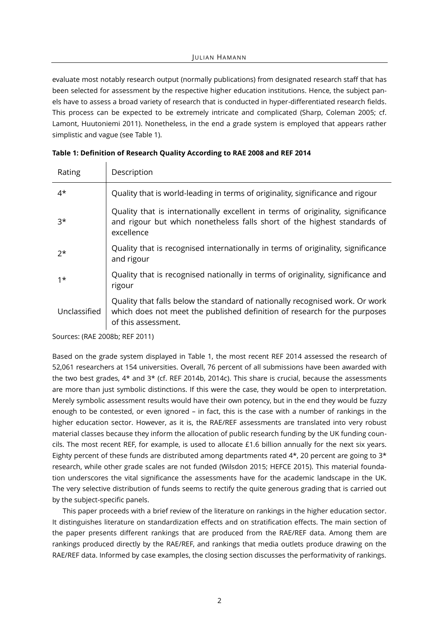evaluate most notably research output (normally publications) from designated research staff that has been selected for assessment by the respective higher education institutions. Hence, the subject panels have to assess a broad variety of research that is conducted in hyper-differentiated research fields. This process can be expected to be extremely intricate and complicated (Sharp, Coleman 2005; cf. Lamont, Huutoniemi 2011). Nonetheless, in the end a grade system is employed that appears rather simplistic and vague (see Table 1).

| Rating       | Description                                                                                                                                                                      |
|--------------|----------------------------------------------------------------------------------------------------------------------------------------------------------------------------------|
| $4^{\star}$  | Quality that is world-leading in terms of originality, significance and rigour                                                                                                   |
| $3^{\star}$  | Quality that is internationally excellent in terms of originality, significance<br>and rigour but which nonetheless falls short of the highest standards of<br>excellence        |
| $2*$         | Quality that is recognised internationally in terms of originality, significance<br>and rigour                                                                                   |
| $1*$         | Quality that is recognised nationally in terms of originality, significance and<br>rigour                                                                                        |
| Unclassified | Quality that falls below the standard of nationally recognised work. Or work<br>which does not meet the published definition of research for the purposes<br>of this assessment. |

|  |  |  |  |  |  | Table 1: Definition of Research Quality According to RAE 2008 and REF 2014 |
|--|--|--|--|--|--|----------------------------------------------------------------------------|
|--|--|--|--|--|--|----------------------------------------------------------------------------|

Sources: (RAE 2008b; REF 2011)

 $\mathbf{I}$ 

Based on the grade system displayed in Table 1, the most recent REF 2014 assessed the research of 52,061 researchers at 154 universities. Overall, 76 percent of all submissions have been awarded with the two best grades, 4\* and 3\* (cf. REF 2014b, 2014c). This share is crucial, because the assessments are more than just symbolic distinctions. If this were the case, they would be open to interpretation. Merely symbolic assessment results would have their own potency, but in the end they would be fuzzy enough to be contested, or even ignored – in fact, this is the case with a number of rankings in the higher education sector. However, as it is, the RAE/REF assessments are translated into very robust material classes because they inform the allocation of public research funding by the UK funding councils. The most recent REF, for example, is used to allocate £1.6 billion annually for the next six years. Eighty percent of these funds are distributed among departments rated  $4^*$ , 20 percent are going to  $3^*$ research, while other grade scales are not funded (Wilsdon 2015; HEFCE 2015). This material foundation underscores the vital significance the assessments have for the academic landscape in the UK. The very selective distribution of funds seems to rectify the quite generous grading that is carried out by the subject-specific panels.

This paper proceeds with a brief review of the literature on rankings in the higher education sector. It distinguishes literature on standardization effects and on stratification effects. The main section of the paper presents different rankings that are produced from the RAE/REF data. Among them are rankings produced directly by the RAE/REF, and rankings that media outlets produce drawing on the RAE/REF data. Informed by case examples, the closing section discusses the performativity of rankings.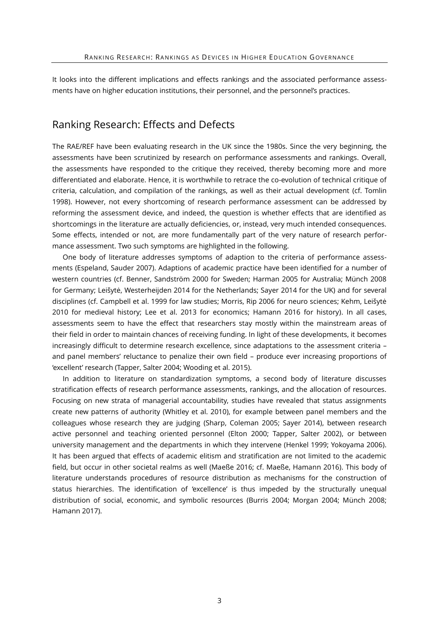It looks into the different implications and effects rankings and the associated performance assessments have on higher education institutions, their personnel, and the personnel's practices.

### Ranking Research: Effects and Defects

The RAE/REF have been evaluating research in the UK since the 1980s. Since the very beginning, the assessments have been scrutinized by research on performance assessments and rankings. Overall, the assessments have responded to the critique they received, thereby becoming more and more differentiated and elaborate. Hence, it is worthwhile to retrace the co-evolution of technical critique of criteria, calculation, and compilation of the rankings, as well as their actual development (cf. Tomlin 1998). However, not every shortcoming of research performance assessment can be addressed by reforming the assessment device, and indeed, the question is whether effects that are identified as shortcomings in the literature are actually deficiencies, or, instead, very much intended consequences. Some effects, intended or not, are more fundamentally part of the very nature of research performance assessment. Two such symptoms are highlighted in the following.

One body of literature addresses symptoms of adaption to the criteria of performance assessments (Espeland, Sauder 2007). Adaptions of academic practice have been identified for a number of western countries (cf. Benner, Sandström 2000 for Sweden; Harman 2005 for Australia; Münch 2008 for Germany; Leišytė, Westerheijden 2014 for the Netherlands; Sayer 2014 for the UK) and for several disciplines (cf. Campbell et al. 1999 for law studies; Morris, Rip 2006 for neuro sciences; Kehm, Leišytė 2010 for medieval history; Lee et al. 2013 for economics; Hamann 2016 for history). In all cases, assessments seem to have the effect that researchers stay mostly within the mainstream areas of their field in order to maintain chances of receiving funding. In light of these developments, it becomes increasingly difficult to determine research excellence, since adaptations to the assessment criteria – and panel members' reluctance to penalize their own field – produce ever increasing proportions of 'excellent' research (Tapper, Salter 2004; Wooding et al. 2015).

In addition to literature on standardization symptoms, a second body of literature discusses stratification effects of research performance assessments, rankings, and the allocation of resources. Focusing on new strata of managerial accountability, studies have revealed that status assignments create new patterns of authority (Whitley et al. 2010), for example between panel members and the colleagues whose research they are judging (Sharp, Coleman 2005; Sayer 2014), between research active personnel and teaching oriented personnel (Elton 2000; Tapper, Salter 2002), or between university management and the departments in which they intervene (Henkel 1999; Yokoyama 2006). It has been argued that effects of academic elitism and stratification are not limited to the academic field, but occur in other societal realms as well (Maeße 2016; cf. Maeße, Hamann 2016). This body of literature understands procedures of resource distribution as mechanisms for the construction of status hierarchies. The identification of 'excellence' is thus impeded by the structurally unequal distribution of social, economic, and symbolic resources (Burris 2004; Morgan 2004; Münch 2008; Hamann 2017).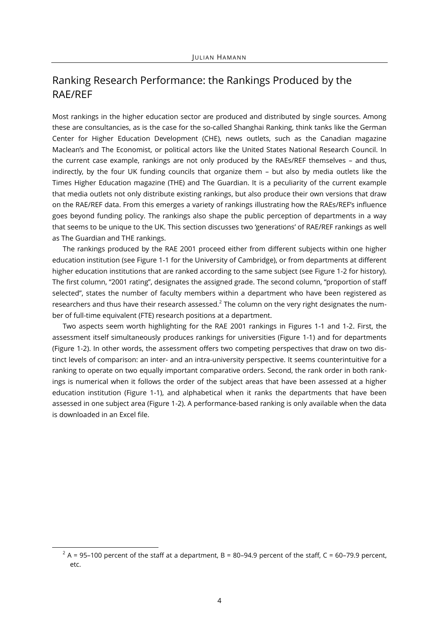# Ranking Research Performance: the Rankings Produced by the RAE/REF

Most rankings in the higher education sector are produced and distributed by single sources. Among these are consultancies, as is the case for the so-called Shanghai Ranking, think tanks like the German Center for Higher Education Development (CHE), news outlets, such as the Canadian magazine Maclean's and The Economist, or political actors like the United States National Research Council. In the current case example, rankings are not only produced by the RAEs/REF themselves – and thus, indirectly, by the four UK funding councils that organize them – but also by media outlets like the Times Higher Education magazine (THE) and The Guardian. It is a peculiarity of the current example that media outlets not only distribute existing rankings, but also produce their own versions that draw on the RAE/REF data. From this emerges a variety of rankings illustrating how the RAEs/REF's influence goes beyond funding policy. The rankings also shape the public perception of departments in a way that seems to be unique to the UK. This section discusses two 'generations' of RAE/REF rankings as well as The Guardian and THE rankings.

The rankings produced by the RAE 2001 proceed either from different subjects within one higher education institution (see Figure 1-1 for the University of Cambridge), or from departments at different higher education institutions that are ranked according to the same subject (see Figure 1-2 for history). The first column, "2001 rating", designates the assigned grade. The second column, "proportion of staff selected", states the number of faculty members within a department who have been registered as researchers and thus have their research assessed. $^2$  The column on the very right designates the number of full-time equivalent (FTE) research positions at a department.

Two aspects seem worth highlighting for the RAE 2001 rankings in Figures 1-1 and 1-2. First, the assessment itself simultaneously produces rankings for universities (Figure 1-1) and for departments (Figure 1-2). In other words, the assessment offers two competing perspectives that draw on two distinct levels of comparison: an inter- and an intra-university perspective. It seems counterintuitive for a ranking to operate on two equally important comparative orders. Second, the rank order in both rankings is numerical when it follows the order of the subject areas that have been assessed at a higher education institution (Figure 1-1), and alphabetical when it ranks the departments that have been assessed in one subject area (Figure 1-2). A performance-based ranking is only available when the data is downloaded in an Excel file.

l

 $^{2}$  A = 95–100 percent of the staff at a department, B = 80–94.9 percent of the staff, C = 60–79.9 percent, etc.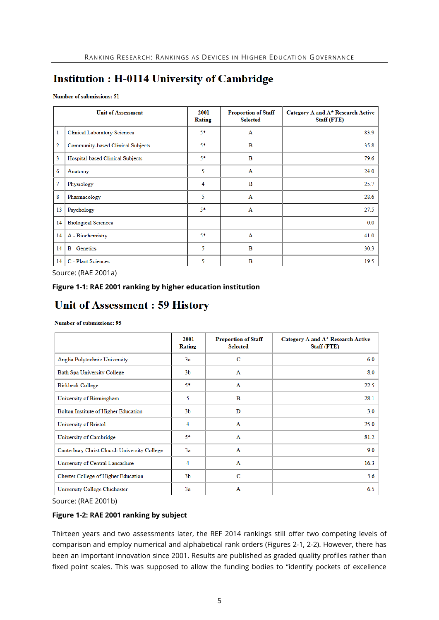# **Institution : H-0114 University of Cambridge**

Number of submissions: 51

|                | <b>Unit of Assessment</b>           | 2001<br>Rating | <b>Proportion of Staff</b><br><b>Selected</b> | Category A and A* Research Active<br><b>Staff (FTE)</b> |
|----------------|-------------------------------------|----------------|-----------------------------------------------|---------------------------------------------------------|
| $\mathbf{1}$   | <b>Clinical Laboratory Sciences</b> | $5*$           | A                                             | 83.9                                                    |
| $\overline{2}$ | Community-based Clinical Subjects   | 5*             | B                                             | 35.8                                                    |
| 3              | Hospital-based Clinical Subjects    | 5*             | B                                             | 79.6                                                    |
| 6              | Anatomy                             | 5              | A                                             | 24.0                                                    |
| $\overline{7}$ | Physiology                          | 4              | B                                             | 25.7                                                    |
| 8              | Pharmacology                        | 5              | A                                             | 28.6                                                    |
| 13             | Psychology                          | 5*             | A                                             | 27.5                                                    |
| 14             | <b>Biological Sciences</b>          |                |                                               | 0.0                                                     |
| 14             | A - Biochemistry                    | 5*             | $\mathbf{A}$                                  | 41.0                                                    |
| 14             | <b>B</b> - Genetics                 | 5              | B                                             | 30.3                                                    |
| 14             | C - Plant Sciences                  | 5              | B                                             | 19.5                                                    |

Source: (RAE 2001a)

#### **Figure 1-1: RAE 2001 ranking by higher education institution**

## **Unit of Assessment: 59 History**

#### Number of submissions: 95

|                                             | 2001<br>Rating | <b>Proportion of Staff</b><br><b>Selected</b> | Category A and A* Research Active<br><b>Staff (FTE)</b> |
|---------------------------------------------|----------------|-----------------------------------------------|---------------------------------------------------------|
| Anglia Polytechnic University               | 3a             | c                                             | 6.0                                                     |
| <b>Bath Spa University College</b>          | 3 <sub>b</sub> | $\mathbf{A}$                                  | 8.0                                                     |
| <b>Birkbeck College</b>                     | $5*$           | A                                             | 22.5                                                    |
| University of Birmingham                    | 5.             | B                                             | 28.1                                                    |
| Bolton Institute of Higher Education        | 3 <sub>b</sub> | D                                             | 3.0                                                     |
| University of Bristol                       | 4              | A                                             | 25.0                                                    |
| University of Cambridge                     | 5*             | $\mathbf{A}$                                  | 81.2                                                    |
| Canterbury Christ Church University College | 3a             | A                                             | 9.0                                                     |
| University of Central Lancashire            | 4              | $\mathbf{A}$                                  | 16.3                                                    |
| <b>Chester College of Higher Education</b>  | 3 <sub>b</sub> | C                                             | 5.6                                                     |
| University College Chichester               | 3a             | A                                             | 6.5                                                     |

Source: (RAE 2001b)

#### **Figure 1-2: RAE 2001 ranking by subject**

Thirteen years and two assessments later, the REF 2014 rankings still offer two competing levels of comparison and employ numerical and alphabetical rank orders (Figures 2-1, 2-2). However, there has been an important innovation since 2001. Results are published as graded quality profiles rather than fixed point scales. This was supposed to allow the funding bodies to "identify pockets of excellence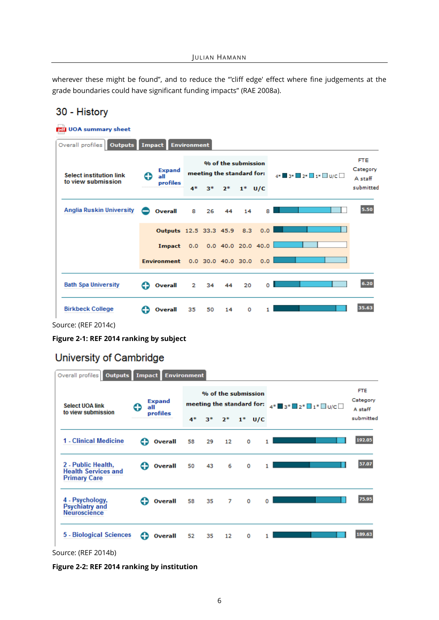wherever these might be found", and to reduce the "'cliff edge' effect where fine judgements at the grade boundaries could have significant funding impacts" (RAE 2008a).

### 30 - History

| pdf UOA summary sheet                                |        |                                    |                                                  |    |      |           |                        |                  |                                   |
|------------------------------------------------------|--------|------------------------------------|--------------------------------------------------|----|------|-----------|------------------------|------------------|-----------------------------------|
| Overall profiles   Outputs                           | Impact |                                    | <b>Environment</b>                               |    |      |           |                        |                  |                                   |
| <b>Select institution link</b><br>to view submission |        | <b>Expand</b><br>all               | % of the submission<br>meeting the standard for: |    |      |           |                        | 4* 3* 2* 1* DU/C | <b>FTE</b><br>Category<br>A staff |
|                                                      |        | profiles                           | 4*                                               | 3* | $2*$ | $1^*$ U/C |                        |                  | submitted                         |
| <b>Anglia Ruskin University</b>                      |        | Overall                            | 8                                                | 26 | 44   | 14        | 8                      |                  | 5.50                              |
|                                                      |        | Outputs 12.5 33.3 45.9 8.3         |                                                  |    |      |           | 0.0                    |                  |                                   |
|                                                      |        | Impact                             |                                                  |    |      |           | 0.0 0.0 40.0 20.0 40.0 |                  |                                   |
|                                                      |        | Environment 0.0 30.0 40.0 30.0 0.0 |                                                  |    |      |           |                        |                  |                                   |
| <b>Bath Spa University</b>                           |        | Overall                            | 2                                                | 34 | 44   | 20        | o                      |                  | 6.20                              |
| <b>Birkbeck College</b>                              |        | Overall                            | 35                                               | 50 | 14   | o         |                        |                  | 35.63                             |

Source: (REF 2014c)

**Figure 2-1: REF 2014 ranking by subject**

### University of Cambridge

|  | Overall profiles <b>Outputs</b>                                         | <b>Impact</b> |                | <b>Environment</b> |    |      |                                                  |                                                                      |                                   |
|--|-------------------------------------------------------------------------|---------------|----------------|--------------------|----|------|--------------------------------------------------|----------------------------------------------------------------------|-----------------------------------|
|  | <b>Select UOA link</b><br>to view submission                            |               | Expand<br>all  |                    |    |      | % of the submission<br>meeting the standard for: | 4 <sup>*</sup> ■3 <sup>*</sup> ■2 <sup>*</sup> ■1 <sup>*</sup> ■∪/c□ | <b>FTE</b><br>Category<br>A staff |
|  |                                                                         |               | profiles       | 4*                 | з* | $2*$ | $1^*$ U/C                                        |                                                                      | submitted                         |
|  | 1 - Clinical Medicine                                                   | C٥            | Overall        | 58                 | 29 | 12   | 0                                                |                                                                      | 192.05                            |
|  | 2 - Public Health.<br><b>Health Services and</b><br><b>Primary Care</b> | Ð             | <b>Overall</b> | 50                 | 43 | 6    | ٥                                                |                                                                      | 57.07                             |
|  | 4 - Psychology,<br><b>Psychiatry and</b><br><b>Neuroscience</b>         |               | <b>Overall</b> | 58                 | 35 | 7    | 0                                                |                                                                      | 75.95                             |
|  | 5 - Biological Sciences                                                 | e             | Overall        | 52                 | 35 | 12   | 0                                                |                                                                      | 189.63                            |

Source: (REF 2014b)

**Figure 2-2: REF 2014 ranking by institution**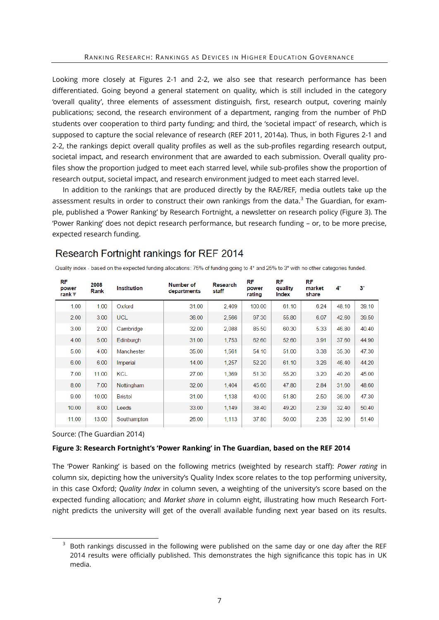Looking more closely at Figures 2-1 and 2-2, we also see that research performance has been differentiated. Going beyond a general statement on quality, which is still included in the category 'overall quality', three elements of assessment distinguish, first, research output, covering mainly publications; second, the research environment of a department, ranging from the number of PhD students over cooperation to third party funding; and third, the 'societal impact' of research, which is supposed to capture the social relevance of research (REF 2011, 2014a). Thus, in both Figures 2-1 and 2-2, the rankings depict overall quality profiles as well as the sub-profiles regarding research output, societal impact, and research environment that are awarded to each submission. Overall quality profiles show the proportion judged to meet each starred level, while sub-profiles show the proportion of research output, societal impact, and research environment judged to meet each starred level.

In addition to the rankings that are produced directly by the RAE/REF, media outlets take up the assessment results in order to construct their own rankings from the data.<sup>3</sup> The Guardian, for example, published a 'Power Ranking' by Research Fortnight, a newsletter on research policy (Figure 3). The 'Power Ranking' does not depict research performance, but research funding – or, to be more precise, expected research funding.

### Research Fortnight rankings for REF 2014

| RF<br>power<br>rank ▼ | 2008<br>Rank | <b>Institution</b> | Number of<br>departments | Research<br>staff | RF<br>power<br>rating | RF<br>quality<br>Index | RF<br>market<br>share | 4*    | $3^*$ |
|-----------------------|--------------|--------------------|--------------------------|-------------------|-----------------------|------------------------|-----------------------|-------|-------|
| 1.00                  | 1.00         | Oxford             | 31.00                    | 2,409             | 100.00                | 61.10                  | 6.24                  | 48.10 | 39.10 |
| 2.00                  | 3.00         | <b>UCL</b>         | 36.00                    | 2,566             | 97.30                 | 55.80                  | 6.07                  | 42.60 | 39.50 |
| 3.00                  | 2.00         | Cambridge          | 32.00                    | 2,088             | 85.50                 | 60.30                  | 5.33                  | 46.80 | 40.40 |
| 4.00                  | 5.00         | Edinburgh          | 31.00                    | 1,753             | 62.60                 | 52.60                  | 3.91                  | 37.60 | 44.90 |
| 5.00                  | 4.00         | Manchester         | 35.00                    | 1,561             | 54.10                 | 51.00                  | 3.38                  | 35.30 | 47.30 |
| 6.00                  | 6.00         | Imperial           | 14.00                    | 1,257             | 52.20                 | 61.10                  | 3.26                  | 46.40 | 44.20 |
| 7.00                  | 11.00        | <b>KCL</b>         | 27.00                    | 1,369             | 51.30                 | 55.20                  | 3.20                  | 40.20 | 45.00 |
| 8.00                  | 7.00         | Nottingham         | 32.00                    | 1.404             | 45.60                 | 47.80                  | 2.84                  | 31.60 | 48.60 |
| 9.00                  | 10.00        | <b>Bristol</b>     | 31.00                    | 1.138             | 40.00                 | 51.80                  | 2.50                  | 36.00 | 47.30 |
| 10.00                 | 8.00         | Leeds              | 33.00                    | 1.149             | 38.40                 | 49.20                  | 2.39                  | 32.40 | 50.40 |
| 11.00                 | 13.00        | Southampton        | 26.00                    | 1,113             | 37.80                 | 50.00                  | 2.36                  | 32.90 | 51.40 |

Quality index - based on the expected funding allocations: 75% of funding going to 4\* and 25% to 3\* with no other categories funded.

Source: (The Guardian 2014)

l

#### **Figure 3: Research Fortnight's 'Power Ranking' in The Guardian, based on the REF 2014**

The 'Power Ranking' is based on the following metrics (weighted by research staff): *Power rating* in column six, depicting how the university's Quality Index score relates to the top performing university, in this case Oxford; *Quality Index* in column seven, a weighting of the university's score based on the expected funding allocation; and *Market share* in column eight, illustrating how much Research Fortnight predicts the university will get of the overall available funding next year based on its results.

 $3$  Both rankings discussed in the following were published on the same day or one day after the REF 2014 results were officially published. This demonstrates the high significance this topic has in UK media.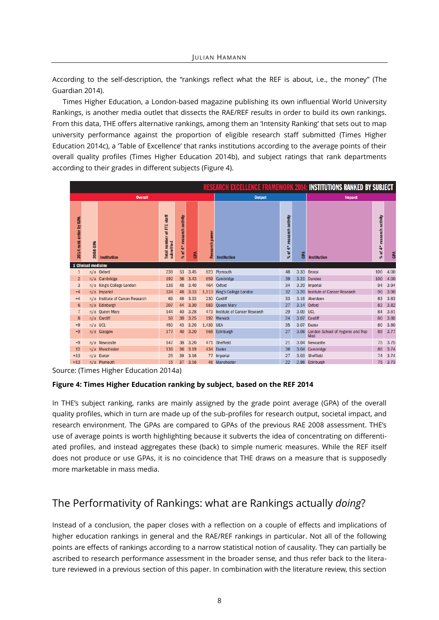According to the self-description, the "rankings reflect what the REF is about, i.e., the money" (The Guardian 2014).

Times Higher Education, a London-based magazine publishing its own influential World University Rankings, is another media outlet that dissects the RAE/REF results in order to build its own rankings. From this data, THE offers alternative rankings, among them an 'Intensity Ranking' that sets out to map university performance against the proportion of eligible research staff submitted (Times Higher Education 2014c), a 'Table of Excellence' that ranks institutions according to the average points of their overall quality profiles (Times Higher Education 2014b), and subject ratings that rank departments according to their grades in different subjects (Figure 4).

|                        | <b>RESEARCH EXCELLENCE FRAMEWORK 2014: INSTITUTIONS RANKED BY SUBJECT</b> |                                  |                                        |                                |      |                |                                  |                           |            |                                               |                           |      |
|------------------------|---------------------------------------------------------------------------|----------------------------------|----------------------------------------|--------------------------------|------|----------------|----------------------------------|---------------------------|------------|-----------------------------------------------|---------------------------|------|
|                        |                                                                           | <b>Overall</b>                   |                                        |                                |      |                | <b>Output</b><br><b>Impact</b>   |                           |            |                                               |                           |      |
| 2014 rank order by GPA | 2008 GPA                                                                  | <b>Institution</b>               | Total number of FTE staff<br>submitted | research activity<br>$%$ of 4* | GPA  | Research power | <b>Institution</b>               | % of 4* research activity | <b>GPA</b> | <b>Institution</b>                            | % of 4* research activity | GPA  |
|                        | <b>1 Clinical medicine</b>                                                |                                  |                                        |                                |      |                |                                  |                           |            |                                               |                           |      |
| $\mathbf{1}$           |                                                                           | n/a Oxford                       | 239                                    | 53                             | 3.45 |                | 823 Plymouth                     | 48                        | 3.33       | <b>Bristol</b>                                | 100                       | 4.00 |
| $\overline{2}$         |                                                                           | n/a Cambridge                    | 192                                    | 58                             | 3.43 | 659            | Cambridge                        | 39                        |            | 3.21 Dundee                                   | 100                       | 4.00 |
| 3                      |                                                                           | n/a King's College London        | 136                                    | 48                             | 3.40 |                | 464 Oxford                       | 34                        |            | 3.20 Imperial                                 | 94                        | 3.94 |
| $-4$                   |                                                                           | n/a Imperial                     | 334                                    | 48                             | 3.33 | 1,113          | King's College London            | 32                        |            | 3.20 Institute of Cancer Research             | 90                        | 3.90 |
| $=4$                   |                                                                           | n/a Institute of Cancer Research | 69                                     | 46                             | 3.33 |                | 230 Cardiff                      | 33                        |            | 3.16 Aberdeen                                 | 83                        | 3.83 |
| $6\phantom{1}6$        |                                                                           | n/a Edinburgh                    | 207                                    | 44                             | 3.30 |                | 683 Oueen Mary                   | 27                        |            | 3.14 Oxford                                   | 82                        | 3.82 |
| $\overline{7}$         |                                                                           | n/a Queen Mary                   | 144                                    | 40                             | 3.28 |                | 473 Institute of Cancer Research | 29                        | 3.09 UCL   |                                               | 84                        | 3.81 |
| 8                      |                                                                           | n/a Cardiff                      | 59                                     | 38                             | 3.25 |                | 192 Warwick                      | 24                        |            | 3.07 Cardiff                                  | 80                        | 3.80 |
| $-9$                   | n/a UCL                                                                   |                                  | 450                                    | 43                             | 3.20 | 1,439 UEA      |                                  | 35                        |            | 3.07 Exeter                                   | 80                        | 3.80 |
| $-9$                   |                                                                           | n/a Glasgow                      | 177                                    | 40                             | 3.20 | 568            | Edinburgh                        | 27                        |            | 3.06 London School of Hygiene and Trop<br>Med | 89                        | 3.77 |
| $-9$                   |                                                                           | n/a Newcastle                    | 147                                    | 38                             | 3.20 |                | 471 Sheffield                    | 21                        |            | 3.04 Newcastle                                | 75                        | 3.75 |
| 12                     |                                                                           | n/a Manchester                   | 136                                    | 36                             | 3.19 |                | 434 Exeter                       | 36                        |            | 3.04 Cambridge                                | 86                        | 3.74 |
| $=13$                  |                                                                           | n/a Exeter                       | 25                                     | 39                             | 3.16 |                | 77 Imperial                      | 27                        |            | 3.03 Sheffield                                | 74                        | 3.74 |
| $=13$                  |                                                                           | n/a Plymouth                     | 15                                     | 37                             | 3.16 |                | 46 Manchester                    | 22                        |            | 2.98 Edinburgh                                | 75                        | 3.73 |

Source: (Times Higher Education 2014a)

#### **Figure 4: Times Higher Education ranking by subject, based on the REF 2014**

In THE's subject ranking, ranks are mainly assigned by the grade point average (GPA) of the overall quality profiles, which in turn are made up of the sub-profiles for research output, societal impact, and research environment. The GPAs are compared to GPAs of the previous RAE 2008 assessment. THE's use of average points is worth highlighting because it subverts the idea of concentrating on differentiated profiles, and instead aggregates these (back) to simple numeric measures. While the REF itself does not produce or use GPAs, it is no coincidence that THE draws on a measure that is supposedly more marketable in mass media.

# The Performativity of Rankings: what are Rankings actually *doing*?

Instead of a conclusion, the paper closes with a reflection on a couple of effects and implications of higher education rankings in general and the RAE/REF rankings in particular. Not all of the following points are effects of rankings according to a narrow statistical notion of causality. They can partially be ascribed to research performance assessment in the broader sense, and thus refer back to the literature reviewed in a previous section of this paper. In combination with the literature review, this section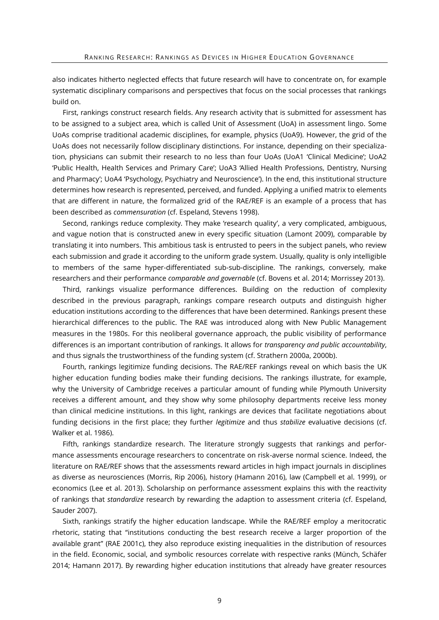also indicates hitherto neglected effects that future research will have to concentrate on, for example systematic disciplinary comparisons and perspectives that focus on the social processes that rankings build on.

First, rankings construct research fields. Any research activity that is submitted for assessment has to be assigned to a subject area, which is called Unit of Assessment (UoA) in assessment lingo. Some UoAs comprise traditional academic disciplines, for example, physics (UoA9). However, the grid of the UoAs does not necessarily follow disciplinary distinctions. For instance, depending on their specialization, physicians can submit their research to no less than four UoAs (UoA1 'Clinical Medicine'; UoA2 'Public Health, Health Services and Primary Care'; UoA3 'Allied Health Professions, Dentistry, Nursing and Pharmacy'; UoA4 'Psychology, Psychiatry and Neuroscience'). In the end, this institutional structure determines how research is represented, perceived, and funded. Applying a unified matrix to elements that are different in nature, the formalized grid of the RAE/REF is an example of a process that has been described as *commensuration* (cf. Espeland, Stevens 1998).

Second, rankings reduce complexity. They make 'research quality', a very complicated, ambiguous, and vague notion that is constructed anew in every specific situation (Lamont 2009), comparable by translating it into numbers. This ambitious task is entrusted to peers in the subject panels, who review each submission and grade it according to the uniform grade system. Usually, quality is only intelligible to members of the same hyper-differentiated sub-sub-discipline. The rankings, conversely, make researchers and their performance *comparable and governable* (cf. Bovens et al. 2014; Morrissey 2013).

Third, rankings visualize performance differences. Building on the reduction of complexity described in the previous paragraph, rankings compare research outputs and distinguish higher education institutions according to the differences that have been determined. Rankings present these hierarchical differences to the public. The RAE was introduced along with New Public Management measures in the 1980s. For this neoliberal governance approach, the public visibility of performance differences is an important contribution of rankings. It allows for *transparency and public accountability*, and thus signals the trustworthiness of the funding system (cf. Strathern 2000a, 2000b).

Fourth, rankings legitimize funding decisions. The RAE/REF rankings reveal on which basis the UK higher education funding bodies make their funding decisions. The rankings illustrate, for example, why the University of Cambridge receives a particular amount of funding while Plymouth University receives a different amount, and they show why some philosophy departments receive less money than clinical medicine institutions. In this light, rankings are devices that facilitate negotiations about funding decisions in the first place; they further *legitimize* and thus *stabilize* evaluative decisions (cf. Walker et al. 1986).

Fifth, rankings standardize research. The literature strongly suggests that rankings and performance assessments encourage researchers to concentrate on risk-averse normal science. Indeed, the literature on RAE/REF shows that the assessments reward articles in high impact journals in disciplines as diverse as neurosciences (Morris, Rip 2006), history (Hamann 2016), law (Campbell et al. 1999), or economics (Lee et al. 2013). Scholarship on performance assessment explains this with the reactivity of rankings that *standardize* research by rewarding the adaption to assessment criteria (cf. Espeland, Sauder 2007).

Sixth, rankings stratify the higher education landscape. While the RAE/REF employ a meritocratic rhetoric, stating that "institutions conducting the best research receive a larger proportion of the available grant" (RAE 2001c), they also reproduce existing inequalities in the distribution of resources in the field. Economic, social, and symbolic resources correlate with respective ranks (Münch, Schäfer 2014; Hamann 2017). By rewarding higher education institutions that already have greater resources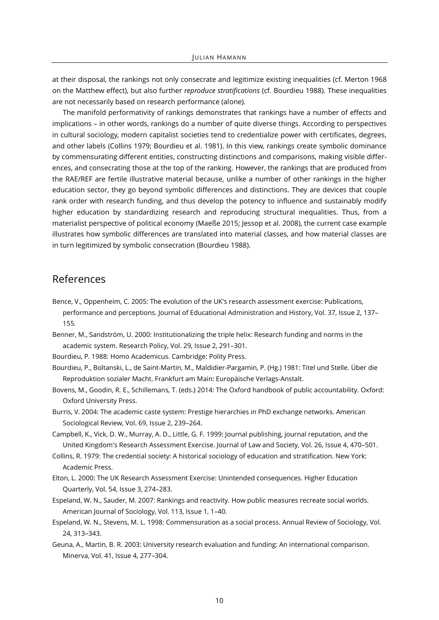at their disposal, the rankings not only consecrate and legitimize existing inequalities (cf. Merton 1968 on the Matthew effect), but also further *reproduce stratifications* (cf. Bourdieu 1988). These inequalities are not necessarily based on research performance (alone).

The manifold performativity of rankings demonstrates that rankings have a number of effects and implications – in other words, rankings do a number of quite diverse things. According to perspectives in cultural sociology, modern capitalist societies tend to credentialize power with certificates, degrees, and other labels (Collins 1979; Bourdieu et al. 1981). In this view, rankings create symbolic dominance by commensurating different entities, constructing distinctions and comparisons, making visible differences, and consecrating those at the top of the ranking. However, the rankings that are produced from the RAE/REF are fertile illustrative material because, unlike a number of other rankings in the higher education sector, they go beyond symbolic differences and distinctions. They are devices that couple rank order with research funding, and thus develop the potency to influence and sustainably modify higher education by standardizing research and reproducing structural inequalities. Thus, from a materialist perspective of political economy (Maeße 2015; Jessop et al. 2008), the current case example illustrates how symbolic differences are translated into material classes, and how material classes are in turn legitimized by symbolic consecration (Bourdieu 1988).

### References

- Bence, V., Oppenheim, C. 2005: The evolution of the UK's research assessment exercise: Publications, performance and perceptions. Journal of Educational Administration and History, Vol. 37, Issue 2, 137– 155.
- Benner, M., Sandström, U. 2000: Institutionalizing the triple helix: Research funding and norms in the academic system. Research Policy, Vol. 29, Issue 2, 291–301.

Bourdieu, P. 1988: Homo Academicus. Cambridge: Polity Press.

- Bourdieu, P., Boltanski, L., de Saint-Martin, M., Maldidier-Pargamin, P. (Hg.) 1981: Titel und Stelle. Über die Reproduktion sozialer Macht. Frankfurt am Main: Europäische Verlags-Anstalt.
- Bovens, M., Goodin, R. E., Schillemans, T. (eds.) 2014: The Oxford handbook of public accountability. Oxford: Oxford University Press.
- Burris, V. 2004: The academic caste system: Prestige hierarchies in PhD exchange networks. American Sociological Review, Vol. 69, Issue 2, 239–264.
- Campbell, K., Vick, D. W., Murray, A. D., Little, G. F. 1999: Journal publishing, journal reputation, and the United Kingdom's Research Assessment Exercise. Journal of Law and Society, Vol. 26, Issue 4, 470–501.
- Collins, R. 1979: The credential society: A historical sociology of education and stratification. New York: Academic Press.
- Elton, L. 2000: The UK Research Assessment Exercise: Unintended consequences. Higher Education Quarterly, Vol. 54, Issue 3, 274–283.
- Espeland, W. N., Sauder, M. 2007: Rankings and reactivity. How public measures recreate social worlds. American Journal of Sociology, Vol. 113, Issue 1, 1–40.
- Espeland, W. N., Stevens, M. L. 1998: Commensuration as a social process. Annual Review of Sociology, Vol. 24, 313–343.
- Geuna, A., Martin, B. R. 2003: University research evaluation and funding: An international comparison. Minerva, Vol. 41, Issue 4, 277–304.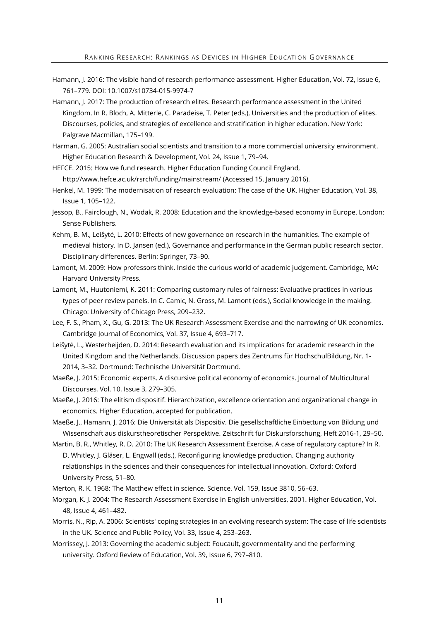- Hamann, J. 2016: The visible hand of research performance assessment. Higher Education, Vol. 72, Issue 6, 761–779. DOI: 10.1007/s10734-015-9974-7
- Hamann, J. 2017: The production of research elites. Research performance assessment in the United Kingdom. In R. Bloch, A. Mitterle, C. Paradeise, T. Peter (eds.), Universities and the production of elites. Discourses, policies, and strategies of excellence and stratification in higher education. New York: Palgrave Macmillan, 175–199.
- Harman, G. 2005: Australian social scientists and transition to a more commercial university environment. Higher Education Research & Development, Vol. 24, Issue 1, 79–94.
- HEFCE. 2015: How we fund research. Higher Education Funding Council England, http://www.hefce.ac.uk/rsrch/funding/mainstream/ (Accessed 15. January 2016).
- Henkel, M. 1999: The modernisation of research evaluation: The case of the UK. Higher Education, Vol. 38, Issue 1, 105–122.
- Jessop, B., Fairclough, N., Wodak, R. 2008: Education and the knowledge-based economy in Europe. London: Sense Publishers.
- Kehm, B. M., Leišytė, L. 2010: Effects of new governance on research in the humanities. The example of medieval history. In D. Jansen (ed.), Governance and performance in the German public research sector. Disciplinary differences. Berlin: Springer, 73–90.
- Lamont, M. 2009: How professors think. Inside the curious world of academic judgement. Cambridge, MA: Harvard University Press.
- Lamont, M., Huutoniemi, K. 2011: Comparing customary rules of fairness: Evaluative practices in various types of peer review panels. In C. Camic, N. Gross, M. Lamont (eds.), Social knowledge in the making. Chicago: University of Chicago Press, 209–232.
- Lee, F. S., Pham, X., Gu, G. 2013: The UK Research Assessment Exercise and the narrowing of UK economics. Cambridge Journal of Economics, Vol. 37, Issue 4, 693–717.
- Leišytė, L., Westerheijden, D. 2014: Research evaluation and its implications for academic research in the United Kingdom and the Netherlands. Discussion papers des Zentrums für HochschulBildung, Nr. 1- 2014, 3–32. Dortmund: Technische Universität Dortmund.
- Maeße, J. 2015: Economic experts. A discursive political economy of economics. Journal of Multicultural Discourses, Vol. 10, Issue 3, 279–305.
- Maeße, J. 2016: The elitism dispositif. Hierarchization, excellence orientation and organizational change in economics. Higher Education, accepted for publication.
- Maeße, J., Hamann, J. 2016: Die Universität als Dispositiv. Die gesellschaftliche Einbettung von Bildung und Wissenschaft aus diskurstheoretischer Perspektive. Zeitschrift für Diskursforschung, Heft 2016-1, 29–50.
- Martin, B. R., Whitley, R. D. 2010: The UK Research Assessment Exercise. A case of regulatory capture? In R. D. Whitley, J. Gläser, L. Engwall (eds.), Reconfiguring knowledge production. Changing authority relationships in the sciences and their consequences for intellectual innovation. Oxford: Oxford University Press, 51–80.
- Merton, R. K. 1968: The Matthew effect in science. Science, Vol. 159, Issue 3810, 56–63.
- Morgan, K. J. 2004: The Research Assessment Exercise in English universities, 2001. Higher Education, Vol. 48, Issue 4, 461–482.
- Morris, N., Rip, A. 2006: Scientists' coping strategies in an evolving research system: The case of life scientists in the UK. Science and Public Policy, Vol. 33, Issue 4, 253–263.
- Morrissey, J. 2013: Governing the academic subject: Foucault, governmentality and the performing university. Oxford Review of Education, Vol. 39, Issue 6, 797–810.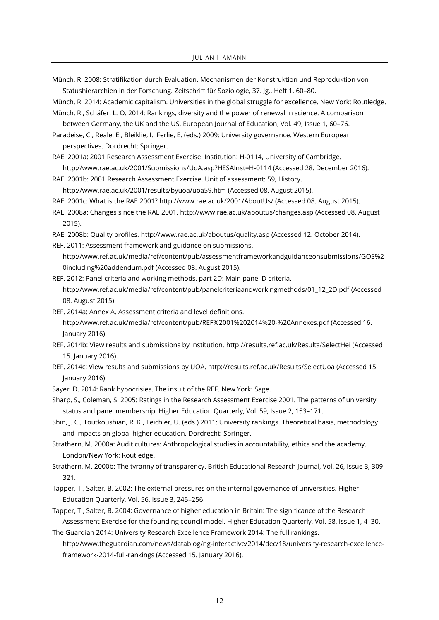Münch, R. 2008: Stratifikation durch Evaluation. Mechanismen der Konstruktion und Reproduktion von Statushierarchien in der Forschung. Zeitschrift für Soziologie, 37. Jg., Heft 1, 60–80.

Münch, R. 2014: Academic capitalism. Universities in the global struggle for excellence. New York: Routledge. Münch, R., Schäfer, L. O. 2014: Rankings, diversity and the power of renewal in science. A comparison

between Germany, the UK and the US. European Journal of Education, Vol. 49, Issue 1, 60–76.

Paradeise, C., Reale, E., Bleiklie, I., Ferlie, E. (eds.) 2009: University governance. Western European perspectives. Dordrecht: Springer.

RAE. 2001a: 2001 Research Assessment Exercise. Institution: H-0114, University of Cambridge. http://www.rae.ac.uk/2001/Submissions/UoA.asp?HESAInst=H-0114 (Accessed 28. December 2016).

RAE. 2001b: 2001 Research Assessment Exercise. Unit of assessment: 59, History.

http://www.rae.ac.uk/2001/results/byuoa/uoa59.htm (Accessed 08. August 2015).

RAE. 2001c: What is the RAE 2001? http://www.rae.ac.uk/2001/AboutUs/ (Accessed 08. August 2015).

RAE. 2008a: Changes since the RAE 2001. http://www.rae.ac.uk/aboutus/changes.asp (Accessed 08. August 2015).

RAE. 2008b: Quality profiles. http://www.rae.ac.uk/aboutus/quality.asp (Accessed 12. October 2014).

REF. 2011: Assessment framework and guidance on submissions.

http://www.ref.ac.uk/media/ref/content/pub/assessmentframeworkandguidanceonsubmissions/GOS%2 0including%20addendum.pdf (Accessed 08. August 2015).

REF. 2012: Panel criteria and working methods, part 2D: Main panel D criteria. http://www.ref.ac.uk/media/ref/content/pub/panelcriteriaandworkingmethods/01\_12\_2D.pdf (Accessed

REF. 2014a: Annex A. Assessment criteria and level definitions.

08. August 2015).

http://www.ref.ac.uk/media/ref/content/pub/REF%2001%202014%20-%20Annexes.pdf (Accessed 16. January 2016).

REF. 2014b: View results and submissions by institution. http://results.ref.ac.uk/Results/SelectHei (Accessed 15. January 2016).

REF. 2014c: View results and submissions by UOA. http://results.ref.ac.uk/Results/SelectUoa (Accessed 15. January 2016).

Sayer, D. 2014: Rank hypocrisies. The insult of the REF. New York: Sage.

Sharp, S., Coleman, S. 2005: Ratings in the Research Assessment Exercise 2001. The patterns of university status and panel membership. Higher Education Quarterly, Vol. 59, Issue 2, 153–171.

Shin, J. C., Toutkoushian, R. K., Teichler, U. (eds.) 2011: University rankings. Theoretical basis, methodology and impacts on global higher education. Dordrecht: Springer.

Strathern, M. 2000a: Audit cultures: Anthropological studies in accountability, ethics and the academy. London/New York: Routledge.

Strathern, M. 2000b: The tyranny of transparency. British Educational Research Journal, Vol. 26, Issue 3, 309– 321.

Tapper, T., Salter, B. 2002: The external pressures on the internal governance of universities. Higher Education Quarterly, Vol. 56, Issue 3, 245–256.

Tapper, T., Salter, B. 2004: Governance of higher education in Britain: The significance of the Research Assessment Exercise for the founding council model. Higher Education Quarterly, Vol. 58, Issue 1, 4–30.

The Guardian 2014: University Research Excellence Framework 2014: The full rankings. http://www.theguardian.com/news/datablog/ng-interactive/2014/dec/18/university-research-excellenceframework-2014-full-rankings (Accessed 15. January 2016).